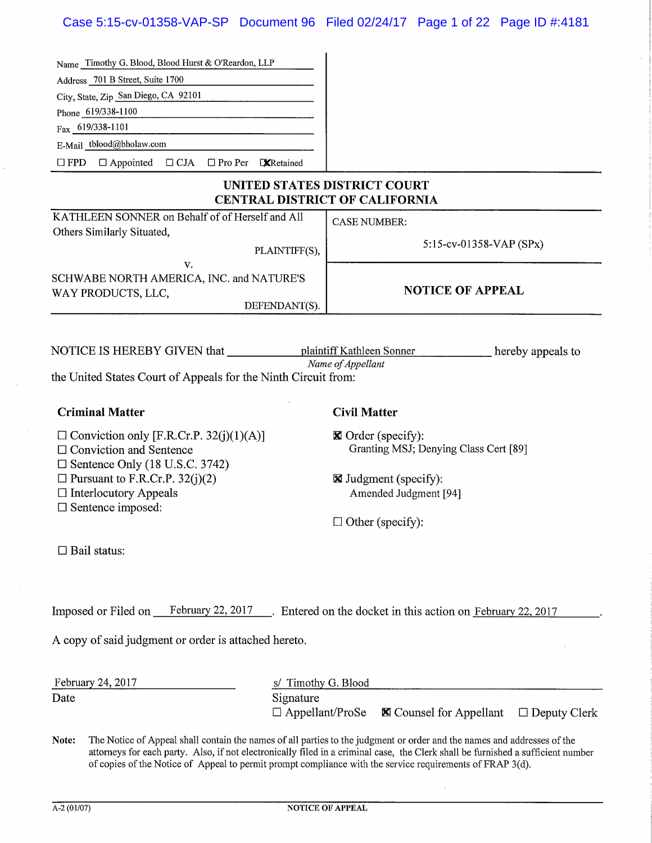| Name Timothy G. Blood, Blood Hurst & O'Reardon, LLP                                                                          |                                                                                                                                                                                                                                                                                                                                                                          |
|------------------------------------------------------------------------------------------------------------------------------|--------------------------------------------------------------------------------------------------------------------------------------------------------------------------------------------------------------------------------------------------------------------------------------------------------------------------------------------------------------------------|
| Address 701 B Street, Suite 1700                                                                                             |                                                                                                                                                                                                                                                                                                                                                                          |
| City, State, Zip San Diego, CA 92101                                                                                         |                                                                                                                                                                                                                                                                                                                                                                          |
| Phone 619/338-1100                                                                                                           |                                                                                                                                                                                                                                                                                                                                                                          |
| Fax 619/338-1101                                                                                                             |                                                                                                                                                                                                                                                                                                                                                                          |
| E-Mail tblood@bholaw.com                                                                                                     |                                                                                                                                                                                                                                                                                                                                                                          |
| $\square$ FPD<br>$\Box$ Appointed $\Box$ CJA $\Box$ Pro Per CXRetained                                                       |                                                                                                                                                                                                                                                                                                                                                                          |
|                                                                                                                              | UNITED STATES DISTRICT COURT<br><b>CENTRAL DISTRICT OF CALIFORNIA</b>                                                                                                                                                                                                                                                                                                    |
| KATHLEEN SONNER on Behalf of of Herself and All<br>Others Similarly Situated,                                                | <b>CASE NUMBER:</b>                                                                                                                                                                                                                                                                                                                                                      |
| v.                                                                                                                           | 5:15-cv-01358-VAP (SPx)<br>PLAINTIFF(S),                                                                                                                                                                                                                                                                                                                                 |
| SCHWABE NORTH AMERICA, INC. and NATURE'S<br>WAY PRODUCTS, LLC,                                                               | <b>NOTICE OF APPEAL</b>                                                                                                                                                                                                                                                                                                                                                  |
|                                                                                                                              | DEFENDANT(S).                                                                                                                                                                                                                                                                                                                                                            |
| the United States Court of Appeals for the Ninth Circuit from:                                                               | plaintiff Kathleen Sonner<br>hereby appeals to<br>Name of Appellant                                                                                                                                                                                                                                                                                                      |
| <b>Criminal Matter</b>                                                                                                       | <b>Civil Matter</b>                                                                                                                                                                                                                                                                                                                                                      |
| $\Box$ Conviction only [F.R.Cr.P. 32(j)(1)(A)]<br>$\Box$ Conviction and Sentence<br>$\square$ Sentence Only (18 U.S.C. 3742) | $\boxtimes$ Order (specify):<br>Granting MSJ; Denying Class Cert [89]                                                                                                                                                                                                                                                                                                    |
| $\Box$ Pursuant to F.R.Cr.P. 32(j)(2)                                                                                        | <b>X</b> Judgment (specify):                                                                                                                                                                                                                                                                                                                                             |
| $\Box$ Interlocutory Appeals                                                                                                 | Amended Judgment [94]                                                                                                                                                                                                                                                                                                                                                    |
| $\square$ Sentence imposed:                                                                                                  |                                                                                                                                                                                                                                                                                                                                                                          |
|                                                                                                                              | $\Box$ Other (specify):                                                                                                                                                                                                                                                                                                                                                  |
| $\Box$ Bail status:                                                                                                          |                                                                                                                                                                                                                                                                                                                                                                          |
|                                                                                                                              | Imposed or Filed on February 22, 2017 February 2. Entered on the docket in this action on February 22, 2017                                                                                                                                                                                                                                                              |
| A copy of said judgment or order is attached hereto.                                                                         |                                                                                                                                                                                                                                                                                                                                                                          |
| February 24, 2017<br>S/                                                                                                      | Timothy G. Blood                                                                                                                                                                                                                                                                                                                                                         |
| Date                                                                                                                         | Signature                                                                                                                                                                                                                                                                                                                                                                |
|                                                                                                                              | $\Box$ Appellant/ProSe<br><b>⊠</b> Counsel for Appellant<br>$\Box$ Deputy Clerk                                                                                                                                                                                                                                                                                          |
| Note:                                                                                                                        | The Notice of Appeal shall contain the names of all parties to the judgment or order and the names and addresses of the<br>attorneys for each party. Also, if not electronically filed in a criminal case, the Clerk shall be furnished a sufficient number<br>of copies of the Notice of Appeal to permit prompt compliance with the service requirements of FRAP 3(d). |

 $\hat{\mathcal{A}}$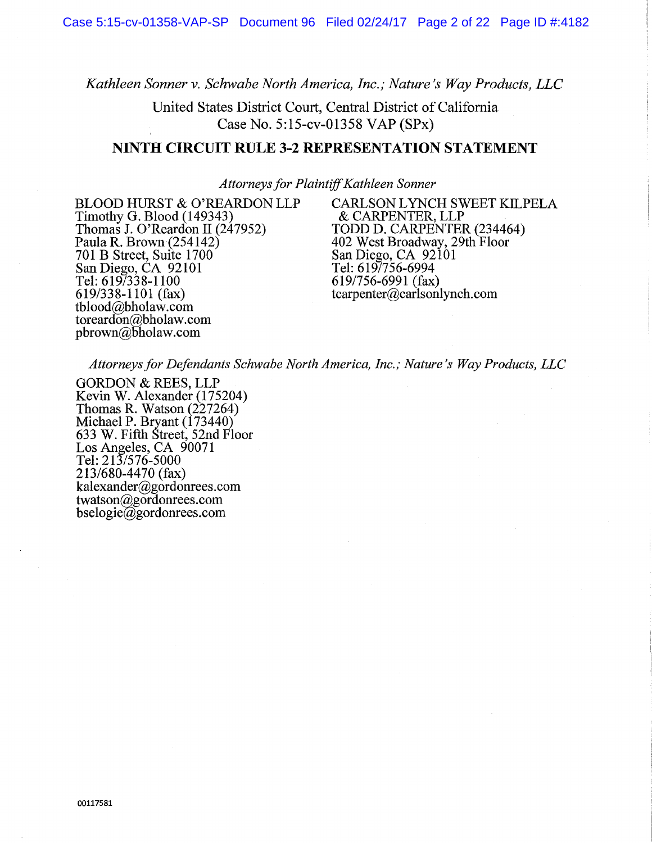*Kathleen Sonner v. Schwabe North America, Inc.; Nature's Way Products, LLC* 

United States District Court, Central District of California Case No. 5:15-cv-01358 VAP (SPx)

#### **NINTH CIRCUIT RULE 3-2 REPRESENTATION STATEMENT**

*Attorneys for Plaintiff Kathleen Sonner* 

Timothy G. Blood  $(149343)$ <br>Thomas J. O'Reardon II  $(247952)$ Thomas J. O'Reardon II (247952) TODD D. CARPENTER (234464)<br>Paula R. Brown (254142) 402 West Broadway, 29th Floor 701 B Street, Suite 1700<br>
San Diego, CA 92101<br>
Tel: 619/756-6994 San Diego, CA 92101 Tel: 619/756-6994<br>Tel: 619/338-1100 619/756-6991 (fax) Tel:  $\overline{619/338-1100}$ <br>619/338-1101 (fax) tblood@bholaw.com toreardon@bholaw.com  $p\text{brown}$ @bholaw.com

BLOOD HURST & O'REARDON LLP CARLSON LYNCH SWEET KILPELA<br>
Timothy G. Blood (149343) & CARPENTER, LLP 402 West Broadway, 29th Floor<br>San Diego, CA 92101  $tcarpenter@carlsonlynch.com$ 

*Attorneys for Defendants Schwabe North America, Inc.; Nature's Way Products, LLC* 

GORDON & REES, LLP Kevin W. Alexander (175204) Thomas R. Watson (227264) Michael P. Bryant (173440) 633 W. Fifth Street, 52nd Floor Los Angeles, CA 90071 Tel: 213/576-5000 213/680-4470 (fax) kalexander@gordonrees.com twatson@gordonrees.com bselogie@gordonrees.com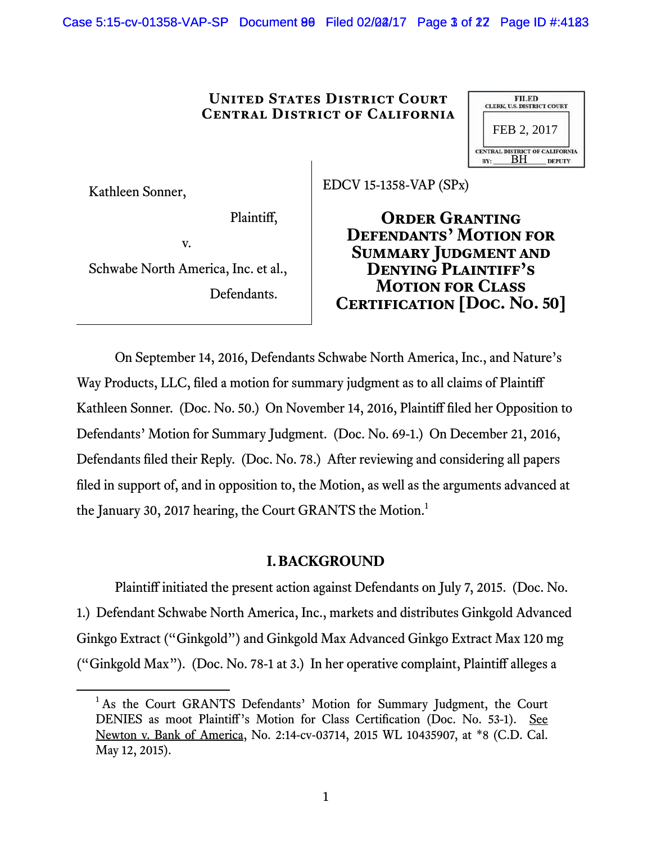Case 5:15-cv-01358-VAP-SP Document 80 Filed 02/02/17 Page 3 of 22 Page ID #:4183

#### **United States District Court Central District of California**

|     | <b>FILED</b><br><b>CLERK, U.S. DISTRICT COURT</b> |                                                        |
|-----|---------------------------------------------------|--------------------------------------------------------|
|     | FEB 2, 2017                                       |                                                        |
| BY: | RН                                                | <b>CENTRAL DISTRICT OF CALIFORNIA</b><br><b>DEPUTY</b> |

Kathleen Sonner,

EDCV 15-1358-VAP (SPx)

Plaintiff,

v.

Schwabe North America, Inc. et al., Defendants.

**Order Granting Defendants' Motion for Summary Judgment and Denying Plaintiff's Motion for Class Certification[Doc. No. 50]**

On September 14, 2016, Defendants Schwabe North America, Inc., and Nature's Way Products, LLC, filed a motion for summary judgment as to all claims of Plaintiff Kathleen Sonner. (Doc. No. 50.) On November 14, 2016, Plaintiff filed her Opposition to Defendants' Motion for Summary Judgment. (Doc. No. 69-1.) On December 21, 2016, Defendants filed their Reply. (Doc. No. 78.) After reviewing and considering all papers filed in support of, and in opposition to, the Motion, as well as the arguments advanced at the January 30, 2017 hearing, the Court GRANTS the Motion.<sup>1</sup>

# **I.BACKGROUND**

Plaintiff initiated the present action against Defendants on July 7, 2015. (Doc. No. 1.) Defendant Schwabe North America, Inc., markets and distributes Ginkgold Advanced Ginkgo Extract ("Ginkgold") and Ginkgold Max Advanced Ginkgo Extract Max 120 mg ("Ginkgold Max"). (Doc. No. 78-1 at 3.) In her operative complaint, Plaintiff alleges a

 $\overline{\phantom{0}}$ <sup>1</sup> As the Court GRANTS Defendants' Motion for Summary Judgment, the Court DENIES as moot Plaintiff's Motion for Class Certification (Doc. No. 53-1). See Newton v. Bank of America, No. 2:14-cv-03714, 2015 WL 10435907, at \*8 (C.D. Cal. May 12, 2015).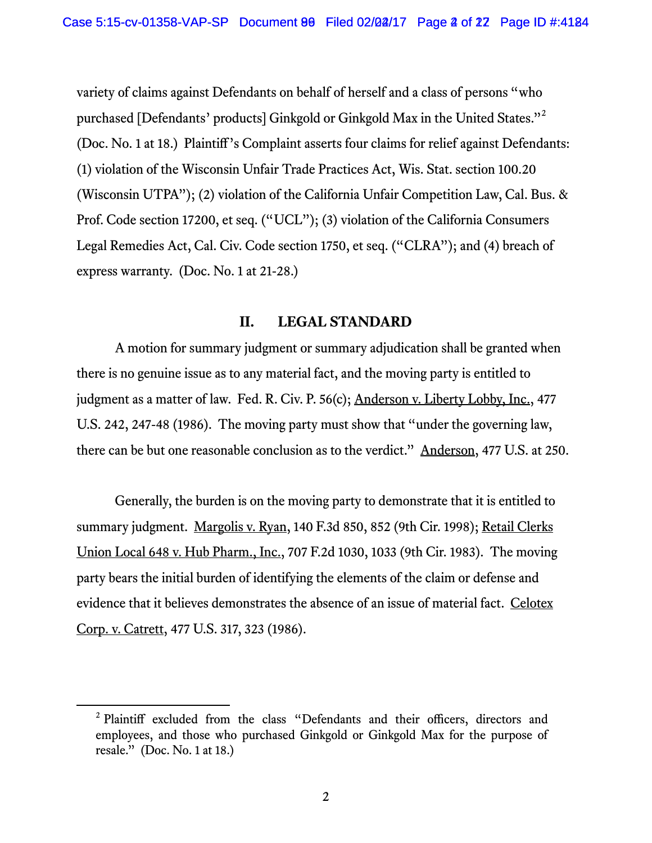variety of claims against Defendants on behalf of herself and a class of persons "who purchased [Defendants' products] Ginkgold or Ginkgold Max in the United States."<sup>2</sup> (Doc. No. 1 at 18.) Plaintiff's Complaint asserts four claims for relief against Defendants: (1) violation of the Wisconsin Unfair Trade Practices Act, Wis. Stat. section 100.20 (Wisconsin UTPA"); (2) violation of the California Unfair Competition Law, Cal. Bus. & Prof. Code section 17200, et seq. ("UCL"); (3) violation of the California Consumers Legal Remedies Act, Cal. Civ. Code section 1750, et seq. ("CLRA"); and (4) breach of express warranty. (Doc. No. 1 at 21-28.)

### **II. LEGAL STANDARD**

A motion for summary judgment or summary adjudication shall be granted when there is no genuine issue as to any material fact, and the moving party is entitled to judgment as a matter of law. Fed. R. Civ. P. 56(c); Anderson v. Liberty Lobby, Inc., 477 U.S. 242, 247-48 (1986). The moving party must show that "under the governing law, there can be but one reasonable conclusion as to the verdict." Anderson, 477 U.S. at 250.

Generally, the burden is on the moving party to demonstrate that it is entitled to summary judgment. Margolis v. Ryan, 140 F.3d 850, 852 (9th Cir. 1998); Retail Clerks Union Local 648 v. Hub Pharm., Inc., 707 F.2d 1030, 1033 (9th Cir. 1983). The moving party bears the initial burden of identifying the elements of the claim or defense and evidence that it believes demonstrates the absence of an issue of material fact. Celotex Corp. v. Catrett, 477 U.S. 317, 323 (1986).

 $\frac{1}{2}$ <sup>2</sup> Plaintiff excluded from the class "Defendants and their officers, directors and employees, and those who purchased Ginkgold or Ginkgold Max for the purpose of resale." (Doc. No. 1 at 18.)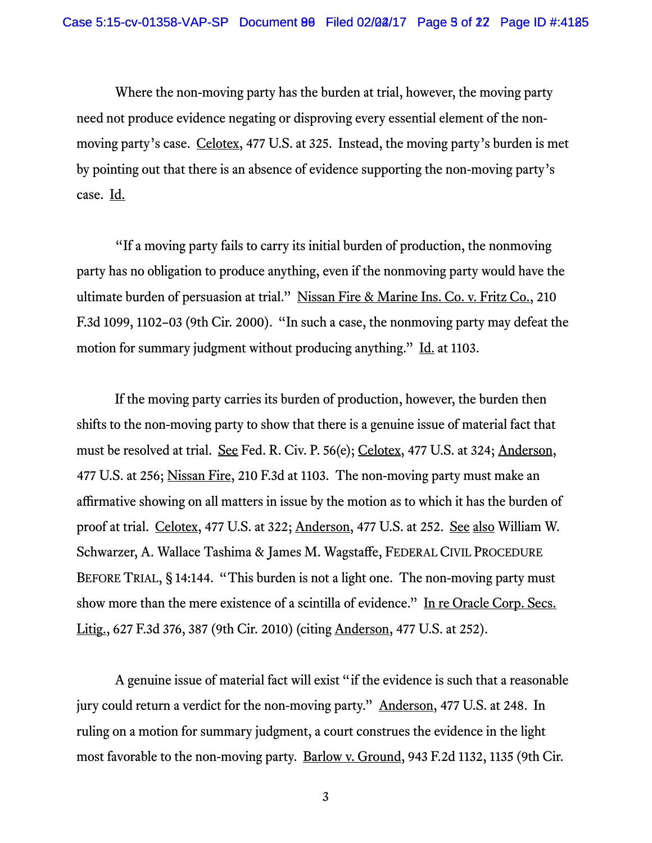Where the non-moving party has the burden at trial, however, the moving party need not produce evidence negating or disproving every essential element of the nonmoving party's case. Celotex, 477 U.S. at 325. Instead, the moving party's burden is met by pointing out that there is an absence of evidence supporting the non-moving party's case. Id.

"If a moving party fails to carry its initial burden of production, the nonmoving party has no obligation to produce anything, even if the nonmoving party would have the ultimate burden of persuasion at trial." Nissan Fire & Marine Ins. Co. v. Fritz Co., 210 F.3d 1099, 1102–03 (9th Cir. 2000). "In such a case, the nonmoving party may defeat the motion for summary judgment without producing anything." Id. at 1103.

If the moving party carries its burden of production, however, the burden then shifts to the non-moving party to show that there is a genuine issue of material fact that must be resolved at trial. See Fed. R. Civ. P. 56(e); Celotex, 477 U.S. at 324; Anderson, 477 U.S. at 256; Nissan Fire, 210 F.3d at 1103. The non-moving party must make an affirmative showing on all matters in issue by the motion as to which it has the burden of proof at trial. Celotex, 477 U.S. at 322; Anderson, 477 U.S. at 252. See also William W. Schwarzer, A. Wallace Tashima & James M. Wagstaffe, FEDERAL CIVIL PROCEDURE BEFORE TRIAL, § 14:144. "This burden is not a light one. The non-moving party must show more than the mere existence of a scintilla of evidence." In re Oracle Corp. Secs. Litig., 627 F.3d 376, 387 (9th Cir. 2010) (citing Anderson, 477 U.S. at 252).

A genuine issue of material fact will exist "if the evidence is such that a reasonable jury could return a verdict for the non-moving party." Anderson, 477 U.S. at 248. In ruling on a motion for summary judgment, a court construes the evidence in the light most favorable to the non-moving party. Barlow v. Ground, 943 F.2d 1132, 1135 (9th Cir.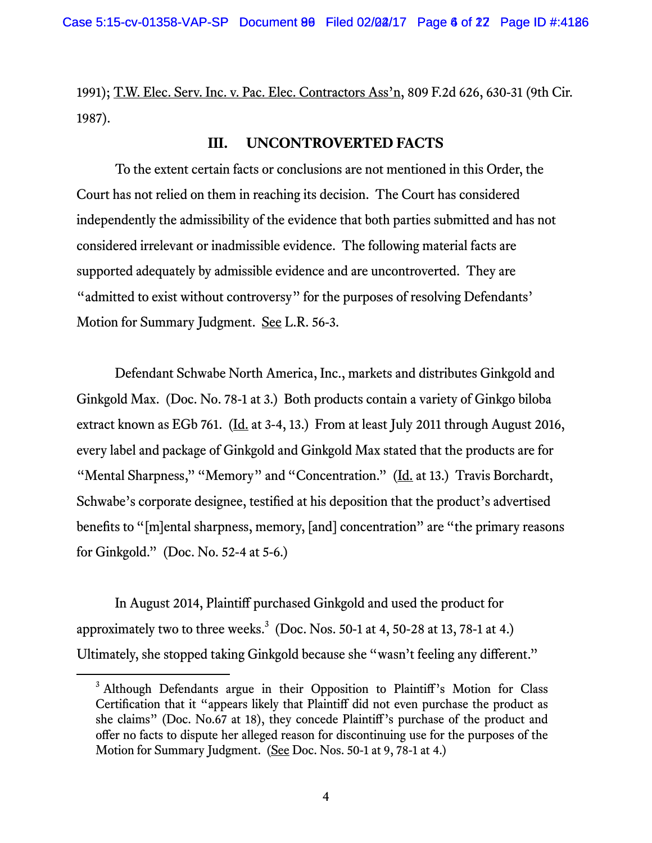1991); T.W. Elec. Serv. Inc. v. Pac. Elec. Contractors Ass'n, 809 F.2d 626, 630-31 (9th Cir. 1987).

### **III. UNCONTROVERTED FACTS**

To the extent certain facts or conclusions are not mentioned in this Order, the Court has not relied on them in reaching its decision. The Court has considered independently the admissibility of the evidence that both parties submitted and has not considered irrelevant or inadmissible evidence. The following material facts are supported adequately by admissible evidence and are uncontroverted. They are "admitted to exist without controversy" for the purposes of resolving Defendants' Motion for Summary Judgment. See L.R. 56-3.

Defendant Schwabe North America, Inc., markets and distributes Ginkgold and Ginkgold Max. (Doc. No. 78-1 at 3.) Both products contain a variety of Ginkgo biloba extract known as EGb 761. ( $\underline{Id}$  at 3-4, 13.) From at least July 2011 through August 2016, every label and package of Ginkgold and Ginkgold Max stated that the products are for "Mental Sharpness," "Memory" and "Concentration." (Id. at 13.) Travis Borchardt, Schwabe's corporate designee, testified at his deposition that the product's advertised benefits to "[m]ental sharpness, memory, [and] concentration" are "the primary reasons for Ginkgold." (Doc. No. 52-4 at 5-6.)

In August 2014, Plaintiff purchased Ginkgold and used the product for approximately two to three weeks. $3 \text{ (Doc. Nos. 50-1 at 4, 50-28 at 13, 78-1 at 4.)}$ Ultimately, she stopped taking Ginkgold because she "wasn't feeling any different."

<sup>&</sup>lt;sup>3</sup> Although Defendants argue in their Opposition to Plaintiff's Motion for Class Certification that it "appears likely that Plaintiff did not even purchase the product as she claims" (Doc. No.67 at 18), they concede Plaintiff's purchase of the product and offer no facts to dispute her alleged reason for discontinuing use for the purposes of the Motion for Summary Judgment. (See Doc. Nos. 50-1 at 9, 78-1 at 4.)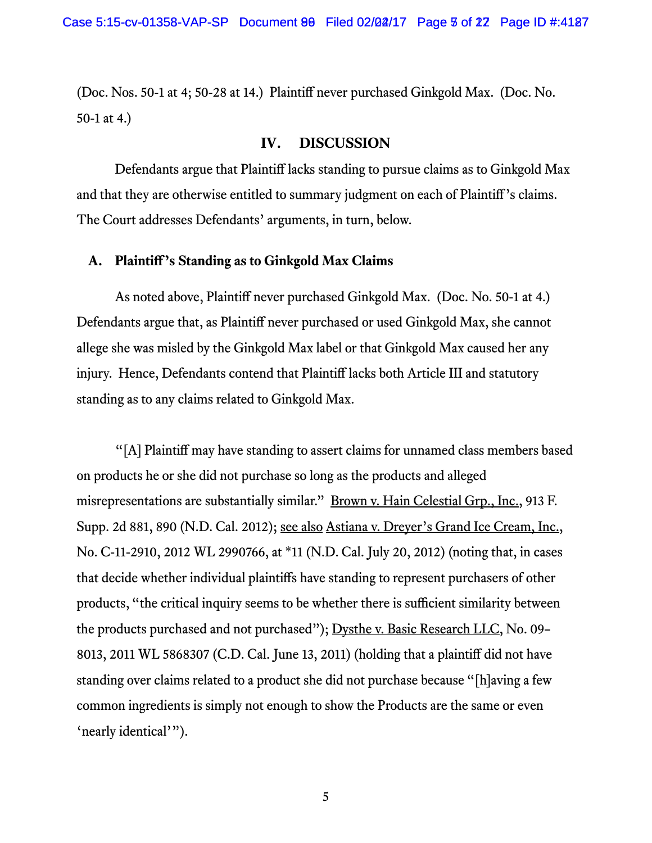(Doc. Nos. 50-1 at 4; 50-28 at 14.) Plaintiff never purchased Ginkgold Max. (Doc. No. 50-1 at 4.)

## **IV. DISCUSSION**

Defendants argue that Plaintiff lacks standing to pursue claims as to Ginkgold Max and that they are otherwise entitled to summary judgment on each of Plaintiff's claims. The Court addresses Defendants' arguments, in turn, below.

# **A. Plaintiff's Standing as to Ginkgold Max Claims**

As noted above, Plaintiff never purchased Ginkgold Max. (Doc. No. 50-1 at 4.) Defendants argue that, as Plaintiff never purchased or used Ginkgold Max, she cannot allege she was misled by the Ginkgold Max label or that Ginkgold Max caused her any injury. Hence, Defendants contend that Plaintiff lacks both Article III and statutory standing as to any claims related to Ginkgold Max.

"[A] Plaintiff may have standing to assert claims for unnamed class members based on products he or she did not purchase so long as the products and alleged misrepresentations are substantially similar." <u>Brown v. Hain Celestial Grp., Inc.</u>, 913 F. Supp. 2d 881, 890 (N.D. Cal. 2012); see also Astiana v. Dreyer's Grand Ice Cream, Inc., No. C-11-2910, 2012 WL 2990766, at \*11 (N.D. Cal. July 20, 2012) (noting that, in cases that decide whether individual plaintiffs have standing to represent purchasers of other products, "the critical inquiry seems to be whether there is sufficient similarity between the products purchased and not purchased"); Dysthe v. Basic Research LLC, No. 09– 8013, 2011 WL 5868307 (C.D. Cal. June 13, 2011) (holding that a plaintiff did not have standing over claims related to a product she did not purchase because "[h]aving a few common ingredients is simply not enough to show the Products are the same or even 'nearly identical'").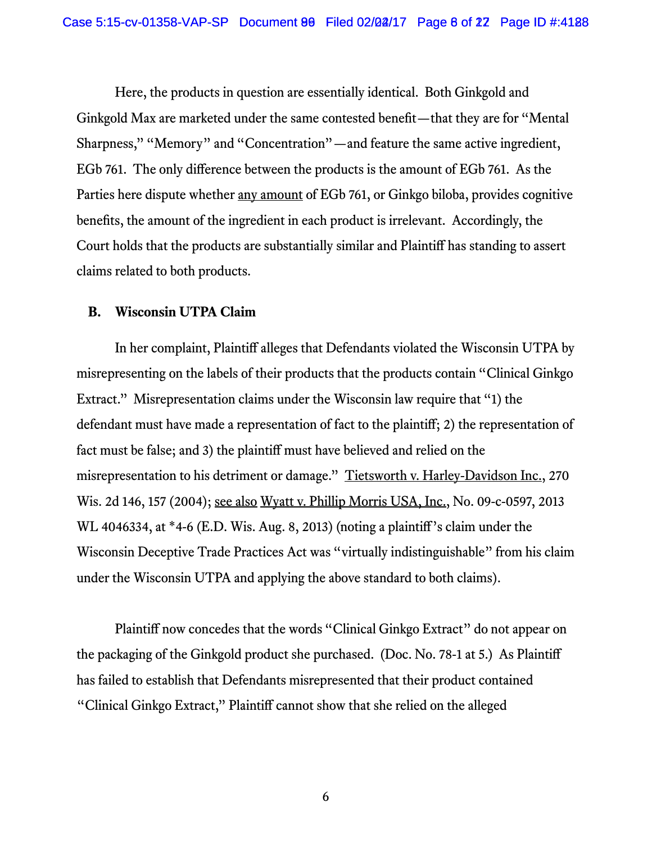Here, the products in question are essentially identical. Both Ginkgold and Ginkgold Max are marketed under the same contested benefit—that they are for "Mental Sharpness," "Memory" and "Concentration"—and feature the same active ingredient, EGb 761. The only difference between the products is the amount of EGb 761. As the Parties here dispute whether <u>any amount</u> of EGb 761, or Ginkgo biloba, provides cognitive benefits, the amount of the ingredient in each product is irrelevant. Accordingly, the Court holds that the products are substantially similar and Plaintiff has standing to assert claims related to both products.

#### **B. Wisconsin UTPA Claim**

 In her complaint, Plaintiff alleges that Defendants violated the Wisconsin UTPA by misrepresenting on the labels of their products that the products contain "Clinical Ginkgo Extract." Misrepresentation claims under the Wisconsin law require that "1) the defendant must have made a representation of fact to the plaintiff; 2) the representation of fact must be false; and 3) the plaintiff must have believed and relied on the misrepresentation to his detriment or damage." Tietsworth v. Harley-Davidson Inc., 270 Wis. 2d 146, 157 (2004); see also Wyatt v. Phillip Morris USA, Inc., No. 09-c-0597, 2013 WL 4046334, at \*4-6 (E.D. Wis. Aug. 8, 2013) (noting a plaintiff's claim under the Wisconsin Deceptive Trade Practices Act was "virtually indistinguishable" from his claim under the Wisconsin UTPA and applying the above standard to both claims).

 Plaintiff now concedes that the words "Clinical Ginkgo Extract" do not appear on the packaging of the Ginkgold product she purchased. (Doc. No. 78-1 at 5.) As Plaintiff has failed to establish that Defendants misrepresented that their product contained "Clinical Ginkgo Extract," Plaintiff cannot show that she relied on the alleged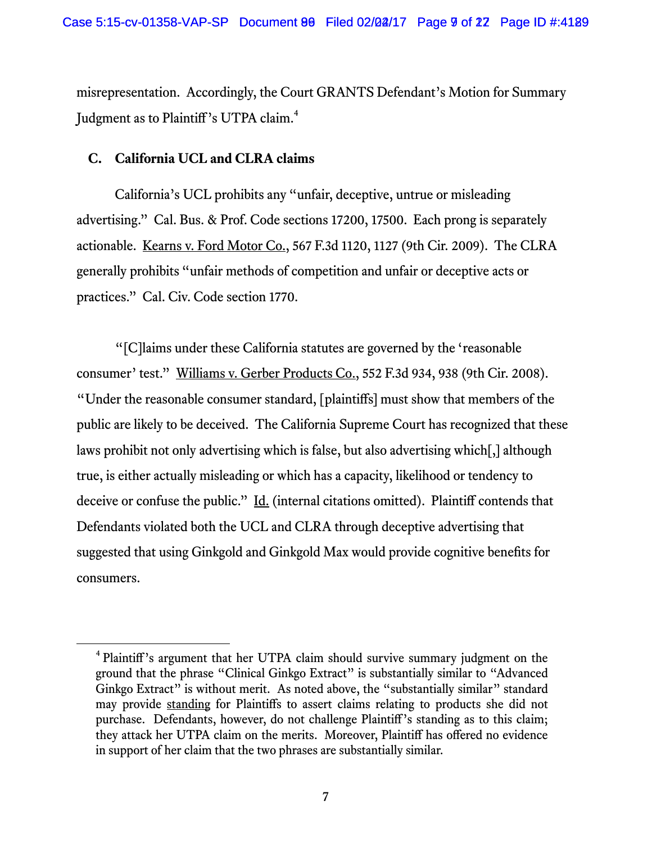misrepresentation. Accordingly, the Court GRANTS Defendant's Motion for Summary Judgment as to Plaintiff's UTPA claim.<sup>4</sup>

## **C. California UCL and CLRA claims**

California's UCL prohibits any "unfair, deceptive, untrue or misleading advertising." Cal. Bus. & Prof. Code sections 17200, 17500. Each prong is separately actionable. Kearns v. Ford Motor Co., 567 F.3d 1120, 1127 (9th Cir. 2009). The CLRA generally prohibits "unfair methods of competition and unfair or deceptive acts or practices." Cal. Civ. Code section 1770.

"[C]laims under these California statutes are governed by the 'reasonable consumer' test." Williams v. Gerber Products Co., 552 F.3d 934, 938 (9th Cir. 2008). "Under the reasonable consumer standard, [plaintiffs] must show that members of the public are likely to be deceived. The California Supreme Court has recognized that these laws prohibit not only advertising which is false, but also advertising which[,] although true, is either actually misleading or which has a capacity, likelihood or tendency to deceive or confuse the public." Id. (internal citations omitted). Plaintiff contends that Defendants violated both the UCL and CLRA through deceptive advertising that suggested that using Ginkgold and Ginkgold Max would provide cognitive benefits for consumers.

 $\overline{4}$ <sup>4</sup> Plaintiff's argument that her UTPA claim should survive summary judgment on the ground that the phrase "Clinical Ginkgo Extract" is substantially similar to "Advanced Ginkgo Extract" is without merit. As noted above, the "substantially similar" standard may provide standing for Plaintiffs to assert claims relating to products she did not purchase. Defendants, however, do not challenge Plaintiff's standing as to this claim; they attack her UTPA claim on the merits. Moreover, Plaintiff has offered no evidence in support of her claim that the two phrases are substantially similar.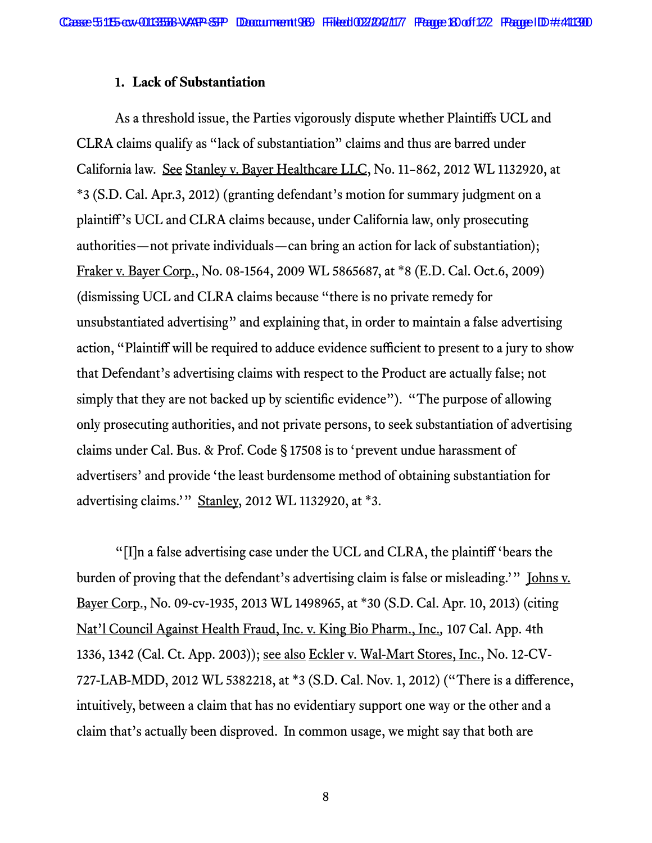#### **1. Lack of Substantiation**

As a threshold issue, the Parties vigorously dispute whether Plaintiffs UCL and CLRA claims qualify as "lack of substantiation" claims and thus are barred under California law. See Stanley v. Bayer Healthcare LLC, No. 11–862, 2012 WL 1132920, at \*3 (S.D. Cal. Apr.3, 2012) (granting defendant's motion for summary judgment on a plaintiff's UCL and CLRA claims because, under California law, only prosecuting authorities—not private individuals—can bring an action for lack of substantiation); Fraker v. Bayer Corp., No. 08-1564, 2009 WL 5865687, at \*8 (E.D. Cal. Oct.6, 2009) (dismissing UCL and CLRA claims because "there is no private remedy for unsubstantiated advertising" and explaining that, in order to maintain a false advertising action, "Plaintiff will be required to adduce evidence sufficient to present to a jury to show that Defendant's advertising claims with respect to the Product are actually false; not simply that they are not backed up by scientific evidence"). "The purpose of allowing only prosecuting authorities, and not private persons, to seek substantiation of advertising claims under Cal. Bus. & Prof. Code § 17508 is to 'prevent undue harassment of advertisers' and provide 'the least burdensome method of obtaining substantiation for advertising claims.'" Stanley, 2012 WL 1132920, at \*3.

"[I]n a false advertising case under the UCL and CLRA, the plaintiff 'bears the burden of proving that the defendant's advertising claim is false or misleading.'" <u>Johns v.</u> Bayer Corp., No. 09-cv-1935, 2013 WL 1498965, at \*30 (S.D. Cal. Apr. 10, 2013) (citing Nat'l Council Against Health Fraud, Inc. v. King Bio Pharm., Inc.*,* 107 Cal. App. 4th 1336, 1342 (Cal. Ct. App. 2003)); see also Eckler v. Wal-Mart Stores, Inc., No. 12-CV-727-LAB-MDD, 2012 WL 5382218, at \*3 (S.D. Cal. Nov. 1, 2012) ("There is a difference, intuitively, between a claim that has no evidentiary support one way or the other and a claim that's actually been disproved. In common usage, we might say that both are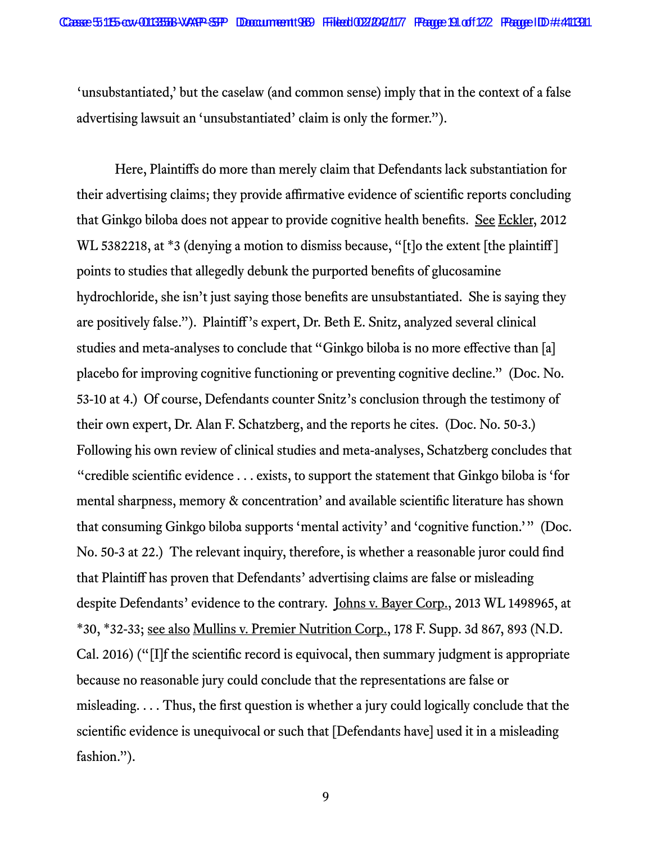'unsubstantiated,' but the caselaw (and common sense) imply that in the context of a false advertising lawsuit an 'unsubstantiated' claim is only the former.").

Here, Plaintiffs do more than merely claim that Defendants lack substantiation for their advertising claims; they provide affirmative evidence of scientific reports concluding that Ginkgo biloba does not appear to provide cognitive health benefits. See Eckler, 2012 WL 5382218, at \*3 (denying a motion to dismiss because, "[t]o the extent [the plaintiff] points to studies that allegedly debunk the purported benefits of glucosamine hydrochloride, she isn't just saying those benefits are unsubstantiated. She is saying they are positively false."). Plaintiff's expert, Dr. Beth E. Snitz, analyzed several clinical studies and meta-analyses to conclude that "Ginkgo biloba is no more effective than [a] placebo for improving cognitive functioning or preventing cognitive decline." (Doc. No. 53-10 at 4.) Of course, Defendants counter Snitz's conclusion through the testimony of their own expert, Dr. Alan F. Schatzberg, and the reports he cites. (Doc. No. 50-3.) Following his own review of clinical studies and meta-analyses, Schatzberg concludes that "credible scientific evidence . . . exists, to support the statement that Ginkgo biloba is 'for mental sharpness, memory & concentration' and available scientific literature has shown that consuming Ginkgo biloba supports 'mental activity' and 'cognitive function.'" (Doc. No. 50-3 at 22.) The relevant inquiry, therefore, is whether a reasonable juror could find that Plaintiff has proven that Defendants' advertising claims are false or misleading despite Defendants' evidence to the contrary. Johns v. Bayer Corp., 2013 WL 1498965, at \*30, \*32-33; see also Mullins v. Premier Nutrition Corp., 178 F. Supp. 3d 867, 893 (N.D. Cal. 2016) ("[I]f the scientific record is equivocal, then summary judgment is appropriate because no reasonable jury could conclude that the representations are false or misleading. . . . Thus, the first question is whether a jury could logically conclude that the scientific evidence is unequivocal or such that [Defendants have] used it in a misleading fashion.").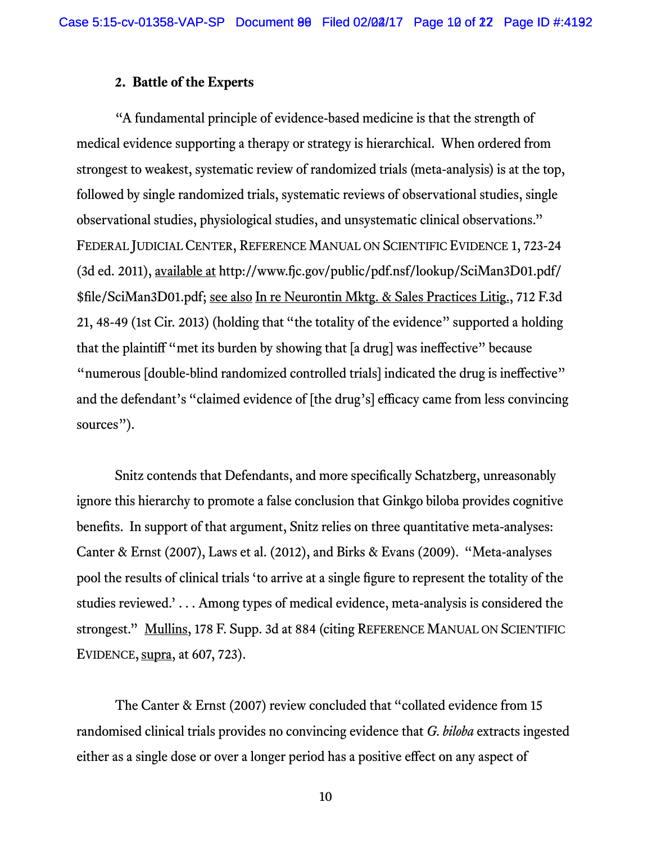#### **2. Battle of the Experts**

"A fundamental principle of evidence-based medicine is that the strength of medical evidence supporting a therapy or strategy is hierarchical. When ordered from strongest to weakest, systematic review of randomized trials (meta-analysis) is at the top, followed by single randomized trials, systematic reviews of observational studies, single observational studies, physiological studies, and unsystematic clinical observations." FEDERAL JUDICIAL CENTER, REFERENCE MANUAL ON SCIENTIFIC EVIDENCE 1, 723-24 (3d ed. 2011), available at http://www.fjc.gov/public/pdf.nsf/lookup/SciMan3D01.pdf/ \$file/SciMan3D01.pdf; see also In re Neurontin Mktg. & Sales Practices Litig., 712 F.3d 21, 48-49 (1st Cir. 2013) (holding that "the totality of the evidence" supported a holding that the plaintiff "met its burden by showing that [a drug] was ineffective" because "numerous [double-blind randomized controlled trials] indicated the drug is ineffective" and the defendant's "claimed evidence of [the drug's] efficacy came from less convincing sources").

Snitz contends that Defendants, and more specifically Schatzberg, unreasonably ignore this hierarchy to promote a false conclusion that Ginkgo biloba provides cognitive benefits. In support of that argument, Snitz relies on three quantitative meta-analyses: Canter & Ernst (2007), Laws et al. (2012), and Birks & Evans (2009). "Meta-analyses pool the results of clinical trials 'to arrive at a single figure to represent the totality of the studies reviewed.' . . . Among types of medical evidence, meta-analysis is considered the strongest." Mullins, 178 F. Supp. 3d at 884 (citing REFERENCE MANUAL ON SCIENTIFIC EVIDENCE,  $\frac{\text{supra}}{\text{arg}}$ , at 607, 723).

The Canter & Ernst (2007) review concluded that "collated evidence from 15 randomised clinical trials provides no convincing evidence that *G. biloba* extracts ingested either as a single dose or over a longer period has a positive effect on any aspect of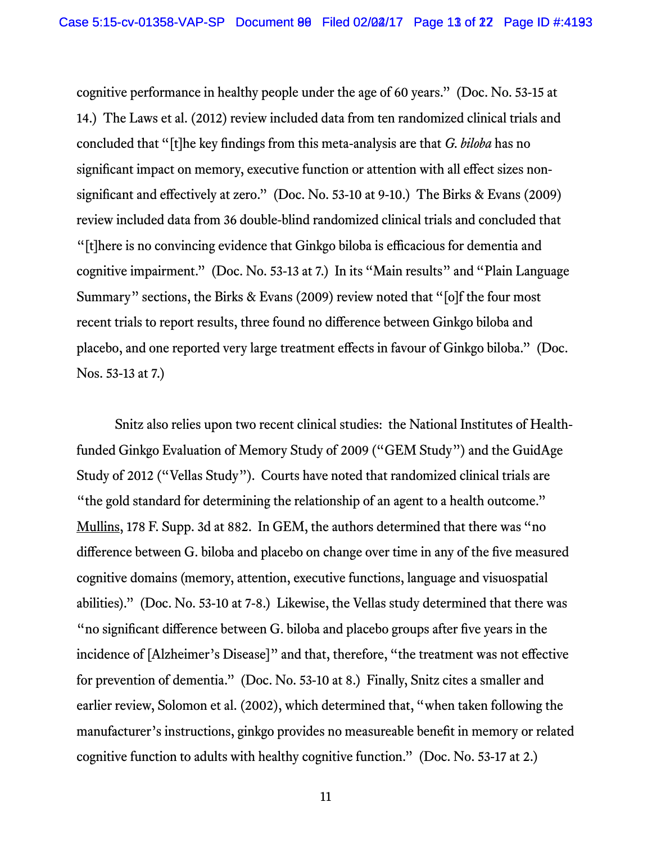cognitive performance in healthy people under the age of 60 years." (Doc. No. 53-15 at 14.) The Laws et al. (2012) review included data from ten randomized clinical trials and concluded that "[t]he key findings from this meta-analysis are that *G. biloba* has no significant impact on memory, executive function or attention with all effect sizes nonsignificant and effectively at zero." (Doc. No. 53-10 at 9-10.) The Birks & Evans (2009) review included data from 36 double-blind randomized clinical trials and concluded that "[t]here is no convincing evidence that Ginkgo biloba is efficacious for dementia and cognitive impairment." (Doc. No. 53-13 at 7.) In its "Main results" and "Plain Language Summary" sections, the Birks & Evans (2009) review noted that "[o]f the four most recent trials to report results, three found no difference between Ginkgo biloba and placebo, and one reported very large treatment effects in favour of Ginkgo biloba." (Doc. Nos. 53-13 at 7.)

Snitz also relies upon two recent clinical studies: the National Institutes of Healthfunded Ginkgo Evaluation of Memory Study of 2009 ("GEM Study") and the GuidAge Study of 2012 ("Vellas Study"). Courts have noted that randomized clinical trials are "the gold standard for determining the relationship of an agent to a health outcome." Mullins, 178 F. Supp. 3d at 882. In GEM, the authors determined that there was "no difference between G. biloba and placebo on change over time in any of the five measured cognitive domains (memory, attention, executive functions, language and visuospatial abilities)." (Doc. No. 53-10 at 7-8.) Likewise, the Vellas study determined that there was "no significant difference between G. biloba and placebo groups after five years in the incidence of [Alzheimer's Disease]" and that, therefore, "the treatment was not effective for prevention of dementia." (Doc. No. 53-10 at 8.) Finally, Snitz cites a smaller and earlier review, Solomon et al. (2002), which determined that, "when taken following the manufacturer's instructions, ginkgo provides no measureable benefit in memory or related cognitive function to adults with healthy cognitive function." (Doc. No. 53-17 at 2.)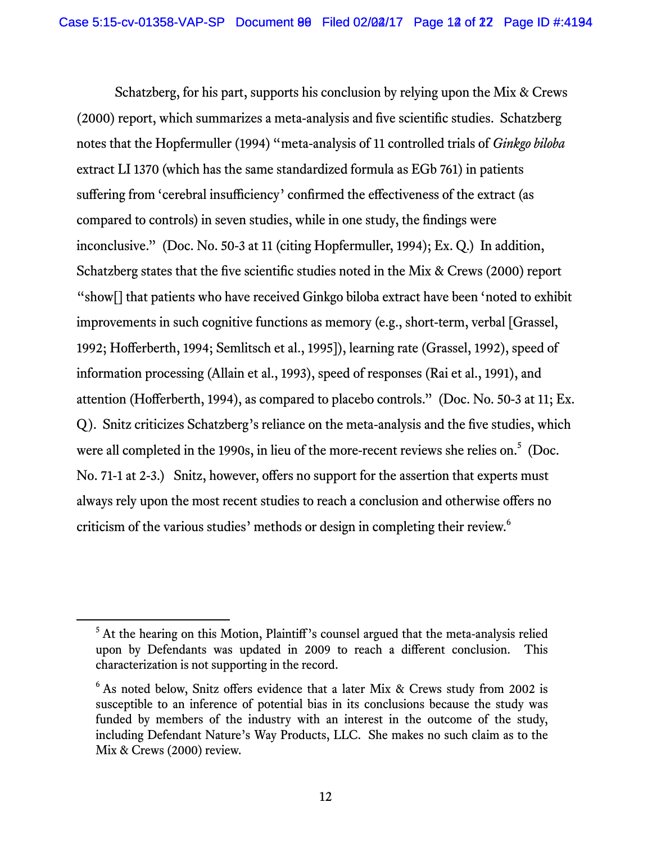Schatzberg, for his part, supports his conclusion by relying upon the Mix & Crews (2000) report, which summarizes a meta-analysis and five scientific studies. Schatzberg notes that the Hopfermuller (1994) "meta-analysis of 11 controlled trials of *Ginkgo biloba* extract LI 1370 (which has the same standardized formula as EGb 761) in patients suffering from 'cerebral insufficiency' confirmed the effectiveness of the extract (as compared to controls) in seven studies, while in one study, the findings were inconclusive." (Doc. No. 50-3 at 11 (citing Hopfermuller, 1994); Ex. Q.) In addition, Schatzberg states that the five scientific studies noted in the Mix & Crews (2000) report "show[] that patients who have received Ginkgo biloba extract have been 'noted to exhibit improvements in such cognitive functions as memory (e.g., short-term, verbal [Grassel, 1992; Hofferberth, 1994; Semlitsch et al., 1995]), learning rate (Grassel, 1992), speed of information processing (Allain et al., 1993), speed of responses (Rai et al., 1991), and attention (Hofferberth, 1994), as compared to placebo controls." (Doc. No. 50-3 at 11; Ex. Q). Snitz criticizes Schatzberg's reliance on the meta-analysis and the five studies, which were all completed in the 1990s, in lieu of the more-recent reviews she relies on.<sup>5</sup> (Doc. No. 71-1 at 2-3.) Snitz, however, offers no support for the assertion that experts must always rely upon the most recent studies to reach a conclusion and otherwise offers no criticism of the various studies' methods or design in completing their review.<sup>6</sup>

<sup>&</sup>lt;sup>5</sup> At the hearing on this Motion, Plaintiff's counsel argued that the meta-analysis relied upon by Defendants was updated in 2009 to reach a different conclusion. This characterization is not supporting in the record.

<sup>&</sup>lt;sup>6</sup> As noted below, Snitz offers evidence that a later Mix & Crews study from 2002 is susceptible to an inference of potential bias in its conclusions because the study was funded by members of the industry with an interest in the outcome of the study, including Defendant Nature's Way Products, LLC. She makes no such claim as to the Mix & Crews (2000) review.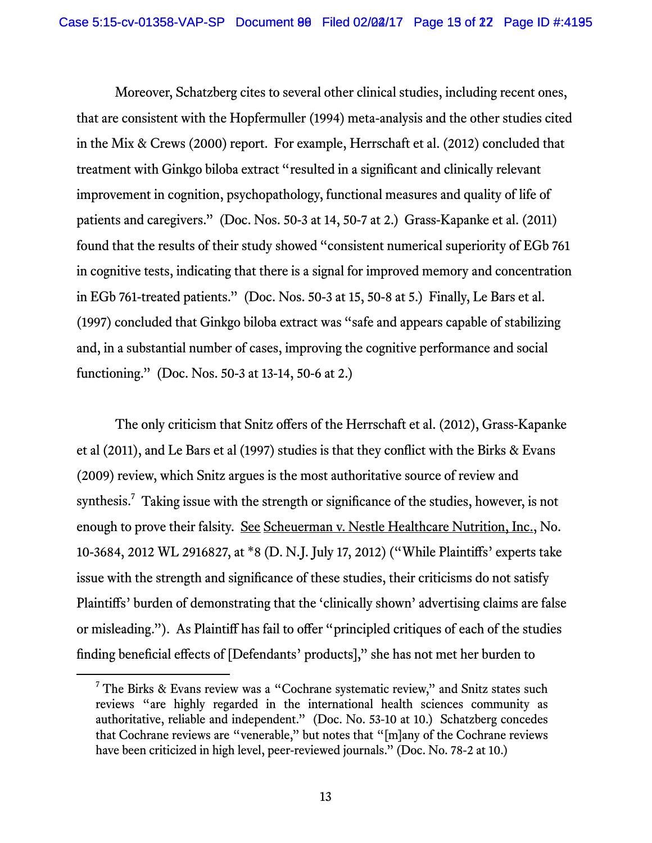Moreover, Schatzberg cites to several other clinical studies, including recent ones, that are consistent with the Hopfermuller (1994) meta-analysis and the other studies cited in the Mix & Crews (2000) report. For example, Herrschaft et al. (2012) concluded that treatment with Ginkgo biloba extract "resulted in a significant and clinically relevant improvement in cognition, psychopathology, functional measures and quality of life of patients and caregivers." (Doc. Nos. 50-3 at 14, 50-7 at 2.) Grass-Kapanke et al. (2011) found that the results of their study showed "consistent numerical superiority of EGb 761 in cognitive tests, indicating that there is a signal for improved memory and concentration in EGb 761-treated patients." (Doc. Nos. 50-3 at 15, 50-8 at 5.) Finally, Le Bars et al. (1997) concluded that Ginkgo biloba extract was "safe and appears capable of stabilizing and, in a substantial number of cases, improving the cognitive performance and social functioning." (Doc. Nos. 50-3 at 13-14, 50-6 at 2.)

The only criticism that Snitz offers of the Herrschaft et al. (2012), Grass-Kapanke et al (2011), and Le Bars et al (1997) studies is that they conflict with the Birks & Evans (2009) review, which Snitz argues is the most authoritative source of review and synthesis.<sup>7</sup> Taking issue with the strength or significance of the studies, however, is not enough to prove their falsity. See Scheuerman v. Nestle Healthcare Nutrition, Inc., No. 10-3684, 2012 WL 2916827, at \*8 (D. N.J. July 17, 2012) ("While Plaintiffs' experts take issue with the strength and significance of these studies, their criticisms do not satisfy Plaintiffs' burden of demonstrating that the 'clinically shown' advertising claims are false or misleading."). As Plaintiff has fail to offer "principled critiques of each of the studies finding beneficial effects of [Defendants' products]," she has not met her burden to

 $\overline{7}$  $7$  The Birks & Evans review was a "Cochrane systematic review," and Snitz states such reviews "are highly regarded in the international health sciences community as authoritative, reliable and independent." (Doc. No. 53-10 at 10.) Schatzberg concedes that Cochrane reviews are "venerable," but notes that "[m]any of the Cochrane reviews have been criticized in high level, peer-reviewed journals." (Doc. No. 78-2 at 10.)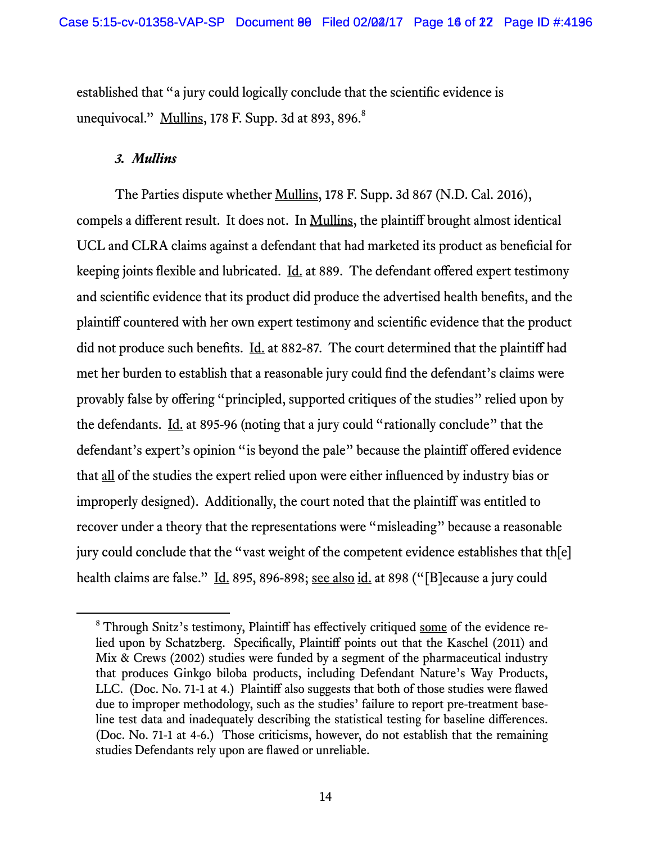established that "a jury could logically conclude that the scientific evidence is unequivocal."  $\frac{Mullins}{178}$  F. Supp. 3d at 893, 896. $^8$ 

#### *3. Mullins*

The Parties dispute whether Mullins, 178 F. Supp. 3d 867 (N.D. Cal. 2016), compels a different result. It does not. In Mullins, the plaintiff brought almost identical UCL and CLRA claims against a defendant that had marketed its product as beneficial for keeping joints flexible and lubricated. <u>Id.</u> at 889. The defendant offered expert testimony and scientific evidence that its product did produce the advertised health benefits, and the plaintiff countered with her own expert testimony and scientific evidence that the product did not produce such benefits. Id. at 882-87. The court determined that the plaintiff had met her burden to establish that a reasonable jury could find the defendant's claims were provably false by offering "principled, supported critiques of the studies" relied upon by the defendants. Id. at 895-96 (noting that a jury could "rationally conclude" that the defendant's expert's opinion "is beyond the pale" because the plaintiff offered evidence that all of the studies the expert relied upon were either influenced by industry bias or improperly designed). Additionally, the court noted that the plaintiff was entitled to recover under a theory that the representations were "misleading" because a reasonable jury could conclude that the "vast weight of the competent evidence establishes that th[e] health claims are false." Id. 895, 896-898; see also id. at 898 ("[B] ecause a jury could

 <sup>8</sup> <sup>8</sup> Through Snitz's testimony, Plaintiff has effectively critiqued some of the evidence relied upon by Schatzberg. Specifically, Plaintiff points out that the Kaschel (2011) and Mix & Crews (2002) studies were funded by a segment of the pharmaceutical industry that produces Ginkgo biloba products, including Defendant Nature's Way Products, LLC. (Doc. No. 71-1 at 4.) Plaintiff also suggests that both of those studies were flawed due to improper methodology, such as the studies' failure to report pre-treatment baseline test data and inadequately describing the statistical testing for baseline differences. (Doc. No. 71-1 at 4-6.) Those criticisms, however, do not establish that the remaining studies Defendants rely upon are flawed or unreliable.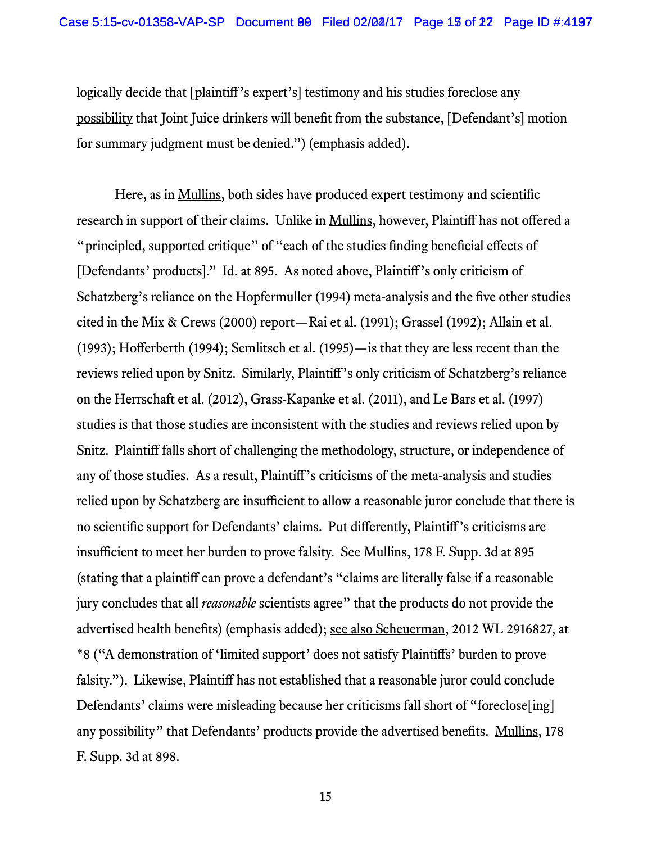logically decide that [plaintiff's expert's] testimony and his studies <u>foreclose any</u> possibility that Joint Juice drinkers will benefit from the substance, [Defendant's] motion for summary judgment must be denied.") (emphasis added).

Here, as in <u>Mullins</u>, both sides have produced expert testimony and scientific research in support of their claims. Unlike in Mullins, however, Plaintiff has not offered a "principled, supported critique" of "each of the studies finding beneficial effects of [Defendants' products]." Id. at 895. As noted above, Plaintiff's only criticism of Schatzberg's reliance on the Hopfermuller (1994) meta-analysis and the five other studies cited in the Mix & Crews (2000) report—Rai et al. (1991); Grassel (1992); Allain et al. (1993); Hofferberth (1994); Semlitsch et al. (1995)—is that they are less recent than the reviews relied upon by Snitz. Similarly, Plaintiff's only criticism of Schatzberg's reliance on the Herrschaft et al. (2012), Grass-Kapanke et al. (2011), and Le Bars et al. (1997) studies is that those studies are inconsistent with the studies and reviews relied upon by Snitz. Plaintiff falls short of challenging the methodology, structure, or independence of any of those studies. As a result, Plaintiff's criticisms of the meta-analysis and studies relied upon by Schatzberg are insufficient to allow a reasonable juror conclude that there is no scientific support for Defendants' claims. Put differently, Plaintiff's criticisms are insufficient to meet her burden to prove falsity. See Mullins, 178 F. Supp. 3d at 895 (stating that a plaintiff can prove a defendant's "claims are literally false if a reasonable jury concludes that all *reasonable* scientists agree" that the products do not provide the advertised health benefits) (emphasis added); see also Scheuerman, 2012 WL 2916827, at \*8 ("A demonstration of 'limited support' does not satisfy Plaintiffs' burden to prove falsity."). Likewise, Plaintiff has not established that a reasonable juror could conclude Defendants' claims were misleading because her criticisms fall short of "foreclose [ing] any possibility" that Defendants' products provide the advertised benefits. Mullins, 178 F. Supp. 3d at 898.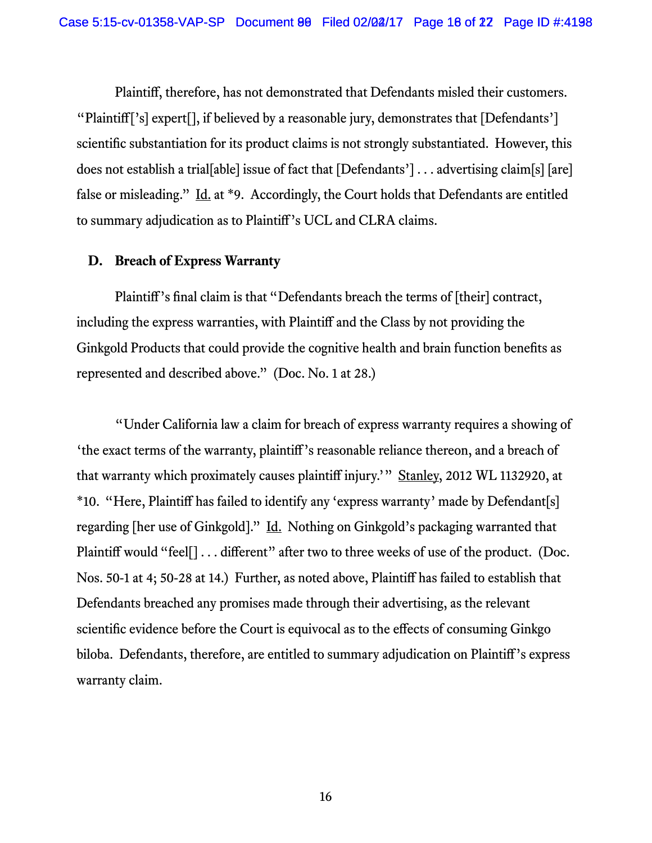Plaintiff, therefore, has not demonstrated that Defendants misled their customers. "Plaintiff['s] expert[], if believed by a reasonable jury, demonstrates that [Defendants'] scientific substantiation for its product claims is not strongly substantiated. However, this does not establish a trial[able] issue of fact that [Defendants'] . . . advertising claim[s] [are] false or misleading." Id. at \*9. Accordingly, the Court holds that Defendants are entitled to summary adjudication as to Plaintiff's UCL and CLRA claims.

# **D. Breach of Express Warranty**

Plaintiff's final claim is that "Defendants breach the terms of [their] contract, including the express warranties, with Plaintiff and the Class by not providing the Ginkgold Products that could provide the cognitive health and brain function benefits as represented and described above." (Doc. No. 1 at 28.)

"Under California law a claim for breach of express warranty requires a showing of 'the exact terms of the warranty, plaintiff's reasonable reliance thereon, and a breach of that warranty which proximately causes plaintiff injury.'" Stanley, 2012 WL 1132920, at \*10. "Here, Plaintiff has failed to identify any 'express warranty' made by Defendant[s] regarding [her use of Ginkgold]." Id. Nothing on Ginkgold's packaging warranted that Plaintiff would "feel[] . . . different" after two to three weeks of use of the product. (Doc. Nos. 50-1 at 4; 50-28 at 14.) Further, as noted above, Plaintiff has failed to establish that Defendants breached any promises made through their advertising, as the relevant scientific evidence before the Court is equivocal as to the effects of consuming Ginkgo biloba. Defendants, therefore, are entitled to summary adjudication on Plaintiff's express warranty claim.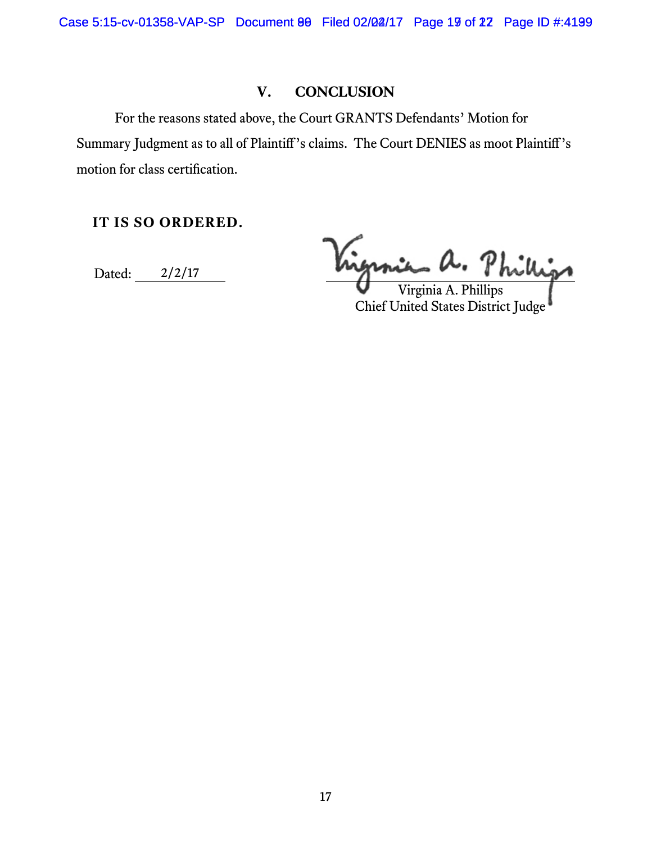Case 5:15-cv-01358-VAP-SP Document 80 Filed 02/02/17 Page 19 of 22 Page ID #:4199

# **V. CONCLUSION**

For the reasons stated above, the Court GRANTS Defendants' Motion for Summary Judgment as to all of Plaintiff's claims. The Court DENIES as moot Plaintiff's motion for class certification.

**IT IS SO ORDERED.** 

Dated: 2/2/17

Virginia a. Phillip

Virginia A. Phillips<br>Chief United States District Judge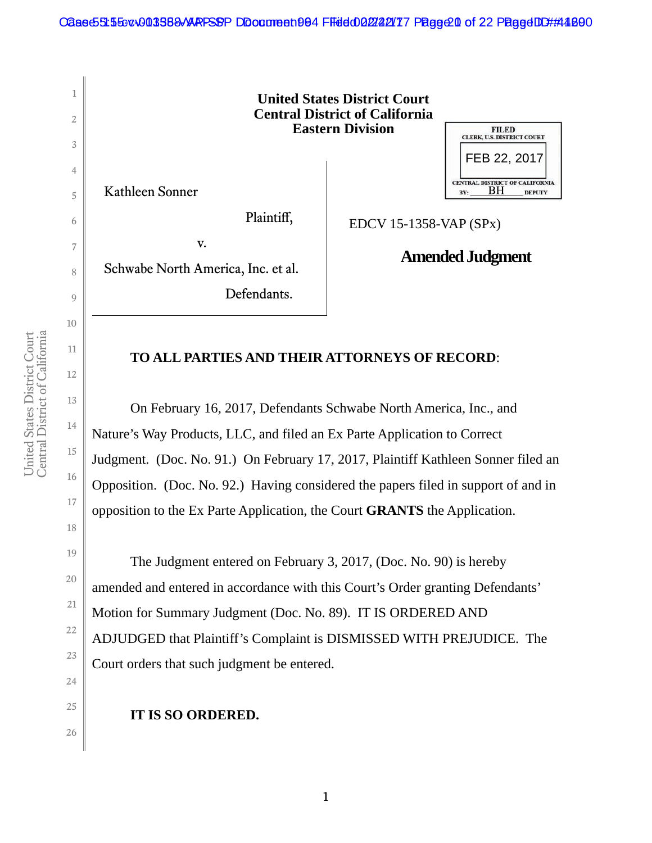

# **TO ALL PARTIES AND THEIR ATTORNEYS OF RECORD**:

 On February 16, 2017, Defendants Schwabe North America, Inc., and Nature's Way Products, LLC, and filed an Ex Parte Application to Correct Judgment. (Doc. No. 91.) On February 17, 2017, Plaintiff Kathleen Sonner filed an Opposition. (Doc. No. 92.) Having considered the papers filed in support of and in opposition to the Ex Parte Application, the Court **GRANTS** the Application.

The Judgment entered on February 3, 2017, (Doc. No. 90) is hereby amended and entered in accordance with this Court's Order granting Defendants' Motion for Summary Judgment (Doc. No. 89). IT IS ORDERED AND ADJUDGED that Plaintiff's Complaint is DISMISSED WITH PREJUDICE. The Court orders that such judgment be entered.

**IT IS SO ORDERED.**

10

11

12

13

14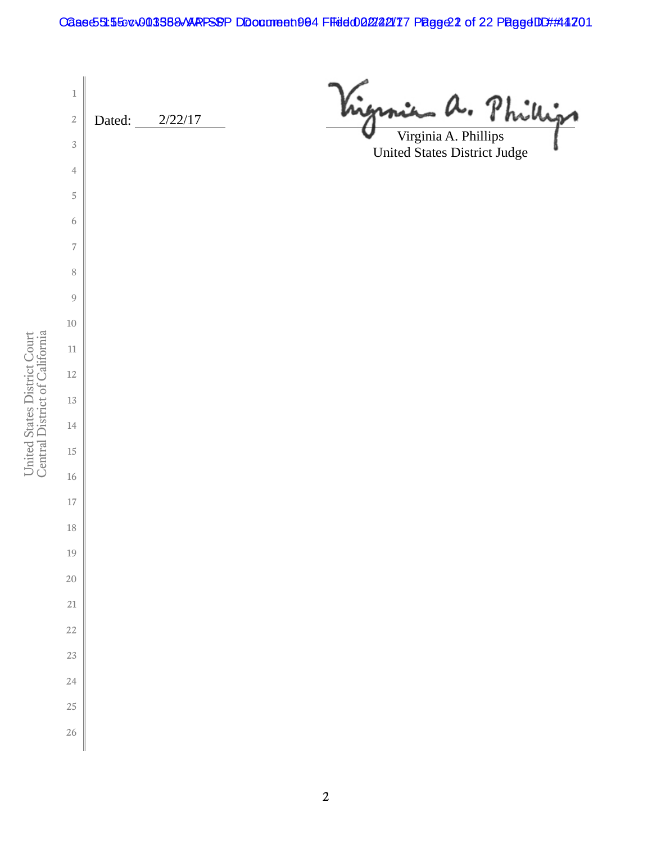Caase55:55cv003588/ARPSSP DDocument 004 Filed 002/22/17 Page 22 of 22 Page 4DD #:41201

 a. Phill Dated: 2/22/17 Virginia A. Phillips United States District Judge